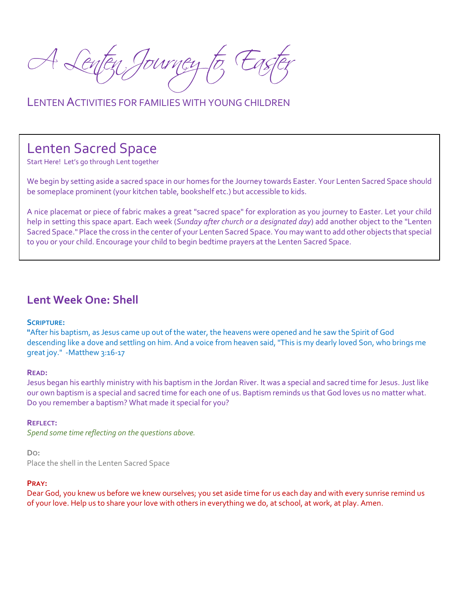A Lenten Journey

### LENTEN ACTIVITIES FOR FAMILIES WITH YOUNG CHILDREN

# Lenten Sacred Space

Start Here! Let's go through Lent together

We begin by setting aside a sacred space in our homes for the Journey towards Easter. Your Lenten Sacred Space should be someplace prominent (your kitchen table, bookshelf etc.) but accessible to kids.

A nice placemat or piece of fabric makes a great "sacred space" for exploration as you journey to Easter. Let your child help in setting this space apart. Each week (*Sunday after church or a designated day*) add another object to the "Lenten Sacred Space." Place the cross in the center of your Lenten Sacred Space. You may want to add other objects that special to you or your child. Encourage your child to begin bedtime prayers at the Lenten Sacred Space.

### **Lent Week One: Shell**

#### **SCRIPTURE:**

**"**After his baptism, as Jesus came up out of the water, the heavens were opened and he saw the Spirit of God descending like a dove and settling on him. And a voice from heaven said, "This is my dearly loved Son, who brings me great joy." -Matthew 3:16-17

#### **READ:**

Jesus began his earthly ministry with his baptism in the Jordan River. It was a special and sacred time for Jesus. Just like our own baptism is a special and sacred time for each one of us. Baptism reminds us that God loves us no matter what. Do you remember a baptism? What made it special for you?

#### **REFLECT:**

*Spend some time reflecting on the questions above.*

**DO:**

Place the shell in the Lenten Sacred Space

#### **PRAY:**

Dear God, you knew us before we knew ourselves; you set aside time for us each day and with every sunrise remind us of your love. Help us to share your love with others in everything we do, at school, at work, at play. Amen.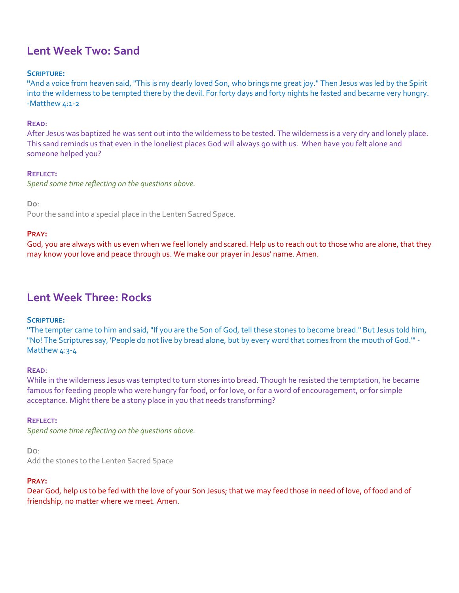# **Lent Week Two: Sand**

#### **SCRIPTURE:**

**"**And a voice from heaven said, "This is my dearly loved Son, who brings me great joy." Then Jesus was led by the Spirit into the wilderness to be tempted there by the devil. For forty days and forty nights he fasted and became very hungry. -Matthew 4:1-2

#### **READ**:

After Jesus was baptized he was sent out into the wilderness to be tested. The wilderness is a very dry and lonely place. This sand reminds us that even in the loneliest places God will always go with us. When have you felt alone and someone helped you?

#### **REFLECT:**

*Spend some time reflecting on the questions above.*

**Do**:

Pour the sand into a special place in the Lenten Sacred Space.

#### **PRAY:**

God, you are always with us even when we feel lonely and scared. Help us to reach out to those who are alone, that they may know your love and peace through us. We make our prayer in Jesus' name. Amen.

### **Lent Week Three: Rocks**

#### **SCRIPTURE:**

**"**The tempter came to him and said, "If you are the Son of God, tell these stones to become bread." But Jesus told him, "No! The Scriptures say, 'People do not live by bread alone, but by every word that comes from the mouth of God.'" - Matthew 4:3-4

#### **READ**:

While in the wilderness Jesus was tempted to turn stones into bread. Though he resisted the temptation, he became famous for feeding people who were hungry for food, or for love, or for a word of encouragement, or for simple acceptance. Might there be a stony place in you that needs transforming?

#### **REFLECT:**

*Spend some time reflecting on the questions above.*

**DO**:

Add the stones to the Lenten Sacred Space

#### **PRAY:**

Dear God, help us to be fed with the love of your Son Jesus; that we may feed those in need of love, of food and of friendship, no matter where we meet. Amen.